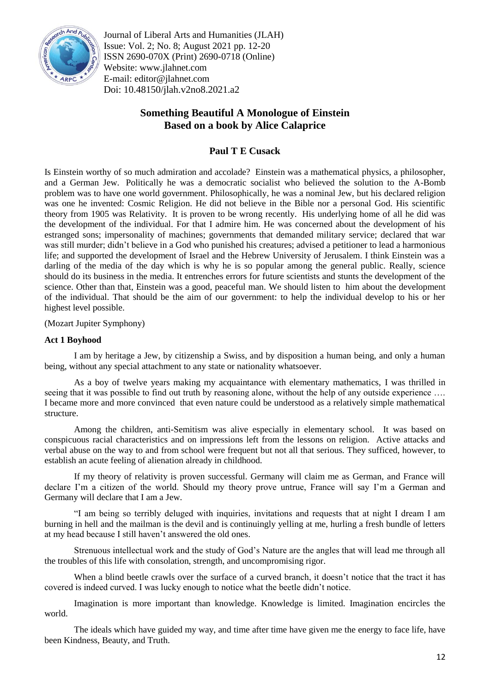

Journal of Liberal Arts and Humanities (JLAH) Issue: Vol. 2; No. 8; August 2021 pp. 12-20 ISSN 2690-070X (Print) 2690-0718 (Online) Website: www.jlahnet.com E-mail: editor@jlahnet.com Doi: 10.48150/jlah.v2no8.2021.a2

# **Something Beautiful A Monologue of Einstein Based on a book by Alice Calaprice**

# **Paul T E Cusack**

Is Einstein worthy of so much admiration and accolade? Einstein was a mathematical physics, a philosopher, and a German Jew. Politically he was a democratic socialist who believed the solution to the A-Bomb problem was to have one world government. Philosophically, he was a nominal Jew, but his declared religion was one he invented: Cosmic Religion. He did not believe in the Bible nor a personal God. His scientific theory from 1905 was Relativity. It is proven to be wrong recently. His underlying home of all he did was the development of the individual. For that I admire him. He was concerned about the development of his estranged sons; impersonality of machines; governments that demanded military service; declared that war was still murder; didn't believe in a God who punished his creatures; advised a petitioner to lead a harmonious life; and supported the development of Israel and the Hebrew University of Jerusalem. I think Einstein was a darling of the media of the day which is why he is so popular among the general public. Really, science should do its business in the media. It entrenches errors for future scientists and stunts the development of the science. Other than that, Einstein was a good, peaceful man. We should listen to him about the development of the individual. That should be the aim of our government: to help the individual develop to his or her highest level possible.

# (Mozart Jupiter Symphony)

# **Act 1 Boyhood**

I am by heritage a Jew, by citizenship a Swiss, and by disposition a human being, and only a human being, without any special attachment to any state or nationality whatsoever.

As a boy of twelve years making my acquaintance with elementary mathematics, I was thrilled in seeing that it was possible to find out truth by reasoning alone, without the help of any outside experience .... I became more and more convinced that even nature could be understood as a relatively simple mathematical structure.

Among the children, anti-Semitism was alive especially in elementary school. It was based on conspicuous racial characteristics and on impressions left from the lessons on religion. Active attacks and verbal abuse on the way to and from school were frequent but not all that serious. They sufficed, however, to establish an acute feeling of alienation already in childhood.

If my theory of relativity is proven successful. Germany will claim me as German, and France will declare I'm a citizen of the world. Should my theory prove untrue, France will say I'm a German and Germany will declare that I am a Jew.

"I am being so terribly deluged with inquiries, invitations and requests that at night I dream I am burning in hell and the mailman is the devil and is continuingly yelling at me, hurling a fresh bundle of letters at my head because I still haven't answered the old ones.

Strenuous intellectual work and the study of God's Nature are the angles that will lead me through all the troubles of this life with consolation, strength, and uncompromising rigor.

When a blind beetle crawls over the surface of a curved branch, it doesn't notice that the tract it has covered is indeed curved. I was lucky enough to notice what the beetle didn't notice.

Imagination is more important than knowledge. Knowledge is limited. Imagination encircles the world.

The ideals which have guided my way, and time after time have given me the energy to face life, have been Kindness, Beauty, and Truth.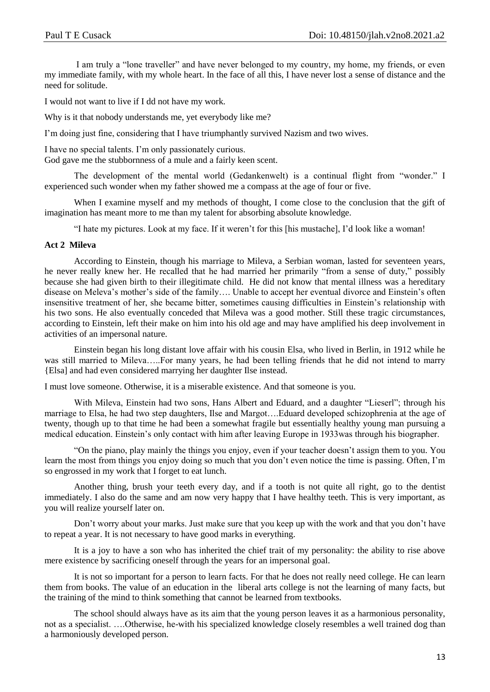I am truly a "lone traveller" and have never belonged to my country, my home, my friends, or even my immediate family, with my whole heart. In the face of all this, I have never lost a sense of distance and the need for solitude.

I would not want to live if I dd not have my work.

Why is it that nobody understands me, yet everybody like me?

I'm doing just fine, considering that I have triumphantly survived Nazism and two wives.

I have no special talents. I'm only passionately curious.

God gave me the stubbornness of a mule and a fairly keen scent.

The development of the mental world (Gedankenwelt) is a continual flight from "wonder." I experienced such wonder when my father showed me a compass at the age of four or five.

When I examine myself and my methods of thought, I come close to the conclusion that the gift of imagination has meant more to me than my talent for absorbing absolute knowledge.

"I hate my pictures. Look at my face. If it weren't for this [his mustache], I'd look like a woman!

# **Act 2 Mileva**

According to Einstein, though his marriage to Mileva, a Serbian woman, lasted for seventeen years, he never really knew her. He recalled that he had married her primarily "from a sense of duty," possibly because she had given birth to their illegitimate child. He did not know that mental illness was a hereditary disease on Meleva's mother's side of the family…. Unable to accept her eventual divorce and Einstein's often insensitive treatment of her, she became bitter, sometimes causing difficulties in Einstein's relationship with his two sons. He also eventually conceded that Mileva was a good mother. Still these tragic circumstances, according to Einstein, left their make on him into his old age and may have amplified his deep involvement in activities of an impersonal nature.

Einstein began his long distant love affair with his cousin Elsa, who lived in Berlin, in 1912 while he was still married to Mileva…..For many years, he had been telling friends that he did not intend to marry {Elsa] and had even considered marrying her daughter Ilse instead.

I must love someone. Otherwise, it is a miserable existence. And that someone is you.

With Mileva, Einstein had two sons, Hans Albert and Eduard, and a daughter "Lieserl"; through his marriage to Elsa, he had two step daughters, Ilse and Margot….Eduard developed schizophrenia at the age of twenty, though up to that time he had been a somewhat fragile but essentially healthy young man pursuing a medical education. Einstein's only contact with him after leaving Europe in 1933was through his biographer.

"On the piano, play mainly the things you enjoy, even if your teacher doesn't assign them to you. You learn the most from things you enjoy doing so much that you don't even notice the time is passing. Often, I'm so engrossed in my work that I forget to eat lunch.

Another thing, brush your teeth every day, and if a tooth is not quite all right, go to the dentist immediately. I also do the same and am now very happy that I have healthy teeth. This is very important, as you will realize yourself later on.

Don't worry about your marks. Just make sure that you keep up with the work and that you don't have to repeat a year. It is not necessary to have good marks in everything.

It is a joy to have a son who has inherited the chief trait of my personality: the ability to rise above mere existence by sacrificing oneself through the years for an impersonal goal.

It is not so important for a person to learn facts. For that he does not really need college. He can learn them from books. The value of an education in the liberal arts college is not the learning of many facts, but the training of the mind to think something that cannot be learned from textbooks.

The school should always have as its aim that the young person leaves it as a harmonious personality, not as a specialist. ….Otherwise, he-with his specialized knowledge closely resembles a well trained dog than a harmoniously developed person.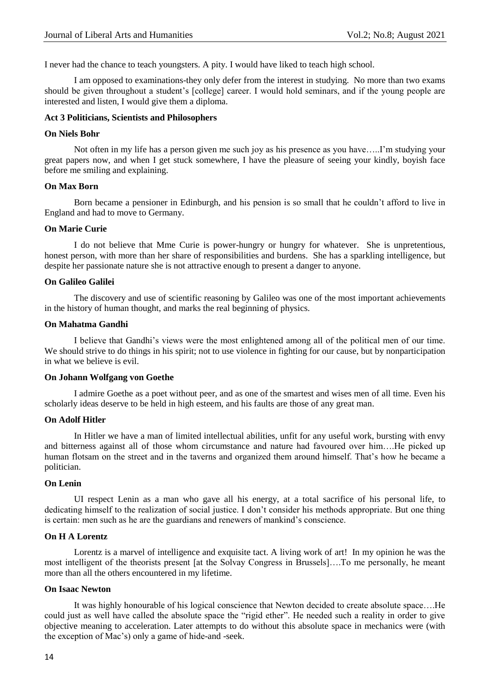I never had the chance to teach youngsters. A pity. I would have liked to teach high school.

I am opposed to examinations-they only defer from the interest in studying. No more than two exams should be given throughout a student's [college] career. I would hold seminars, and if the young people are interested and listen, I would give them a diploma.

### **Act 3 Politicians, Scientists and Philosophers**

### **On Niels Bohr**

Not often in my life has a person given me such joy as his presence as you have…..I'm studying your great papers now, and when I get stuck somewhere, I have the pleasure of seeing your kindly, boyish face before me smiling and explaining.

### **On Max Born**

Born became a pensioner in Edinburgh, and his pension is so small that he couldn't afford to live in England and had to move to Germany.

# **On Marie Curie**

I do not believe that Mme Curie is power-hungry or hungry for whatever. She is unpretentious, honest person, with more than her share of responsibilities and burdens. She has a sparkling intelligence, but despite her passionate nature she is not attractive enough to present a danger to anyone.

# **On Galileo Galilei**

The discovery and use of scientific reasoning by Galileo was one of the most important achievements in the history of human thought, and marks the real beginning of physics.

### **On Mahatma Gandhi**

I believe that Gandhi's views were the most enlightened among all of the political men of our time. We should strive to do things in his spirit; not to use violence in fighting for our cause, but by nonparticipation in what we believe is evil.

### **On Johann Wolfgang von Goethe**

I admire Goethe as a poet without peer, and as one of the smartest and wises men of all time. Even his scholarly ideas deserve to be held in high esteem, and his faults are those of any great man.

# **On Adolf Hitler**

In Hitler we have a man of limited intellectual abilities, unfit for any useful work, bursting with envy and bitterness against all of those whom circumstance and nature had favoured over him….He picked up human flotsam on the street and in the taverns and organized them around himself. That's how he became a politician.

# **On Lenin**

UI respect Lenin as a man who gave all his energy, at a total sacrifice of his personal life, to dedicating himself to the realization of social justice. I don't consider his methods appropriate. But one thing is certain: men such as he are the guardians and renewers of mankind's conscience.

# **On H A Lorentz**

Lorentz is a marvel of intelligence and exquisite tact. A living work of art! In my opinion he was the most intelligent of the theorists present [at the Solvay Congress in Brussels]….To me personally, he meant more than all the others encountered in my lifetime.

# **On Isaac Newton**

It was highly honourable of his logical conscience that Newton decided to create absolute space….He could just as well have called the absolute space the "rigid ether". He needed such a reality in order to give objective meaning to acceleration. Later attempts to do without this absolute space in mechanics were (with the exception of Mac's) only a game of hide-and -seek.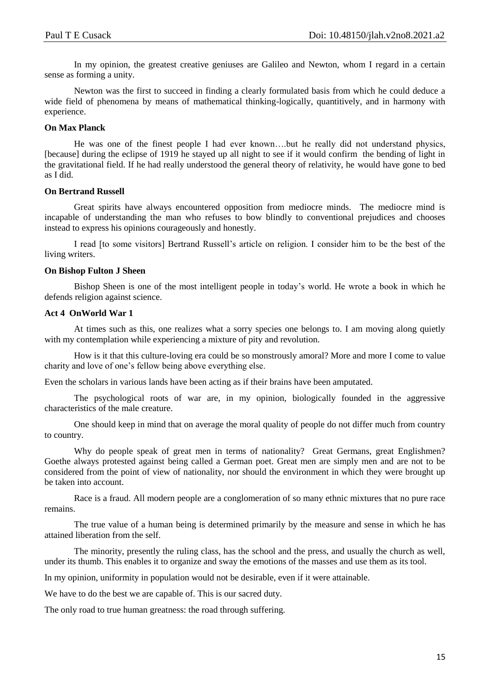In my opinion, the greatest creative geniuses are Galileo and Newton, whom I regard in a certain sense as forming a unity.

Newton was the first to succeed in finding a clearly formulated basis from which he could deduce a wide field of phenomena by means of mathematical thinking-logically, quantitively, and in harmony with experience.

### **On Max Planck**

He was one of the finest people I had ever known….but he really did not understand physics, [because] during the eclipse of 1919 he stayed up all night to see if it would confirm the bending of light in the gravitational field. If he had really understood the general theory of relativity, he would have gone to bed as I did.

### **On Bertrand Russell**

Great spirits have always encountered opposition from mediocre minds. The mediocre mind is incapable of understanding the man who refuses to bow blindly to conventional prejudices and chooses instead to express his opinions courageously and honestly.

I read [to some visitors] Bertrand Russell's article on religion. I consider him to be the best of the living writers.

### **On Bishop Fulton J Sheen**

Bishop Sheen is one of the most intelligent people in today's world. He wrote a book in which he defends religion against science.

### **Act 4 OnWorld War 1**

At times such as this, one realizes what a sorry species one belongs to. I am moving along quietly with my contemplation while experiencing a mixture of pity and revolution.

How is it that this culture-loving era could be so monstrously amoral? More and more I come to value charity and love of one's fellow being above everything else.

Even the scholars in various lands have been acting as if their brains have been amputated.

The psychological roots of war are, in my opinion, biologically founded in the aggressive characteristics of the male creature.

One should keep in mind that on average the moral quality of people do not differ much from country to country.

Why do people speak of great men in terms of nationality? Great Germans, great Englishmen? Goethe always protested against being called a German poet. Great men are simply men and are not to be considered from the point of view of nationality, nor should the environment in which they were brought up be taken into account.

Race is a fraud. All modern people are a conglomeration of so many ethnic mixtures that no pure race remains.

The true value of a human being is determined primarily by the measure and sense in which he has attained liberation from the self.

The minority, presently the ruling class, has the school and the press, and usually the church as well, under its thumb. This enables it to organize and sway the emotions of the masses and use them as its tool.

In my opinion, uniformity in population would not be desirable, even if it were attainable.

We have to do the best we are capable of. This is our sacred duty.

The only road to true human greatness: the road through suffering.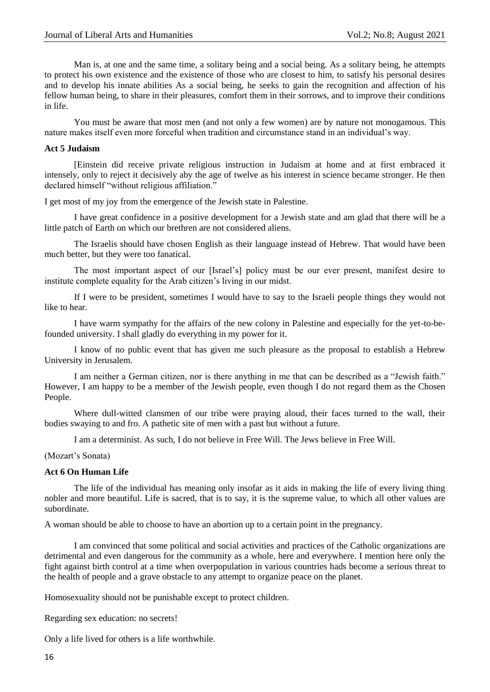Man is, at one and the same time, a solitary being and a social being. As a solitary being, he attempts to protect his own existence and the existence of those who are closest to him, to satisfy his personal desires and to develop his innate abilities As a social being, he seeks to gain the recognition and affection of his fellow human being, to share in their pleasures, comfort them in their sorrows, and to improve their conditions in life.

You must be aware that most men (and not only a few women) are by nature not monogamous. This nature makes itself even more forceful when tradition and circumstance stand in an individual's way.

# **Act 5 Judaism**

[Einstein did receive private religious instruction in Judaism at home and at first embraced it intensely, only to reject it decisively aby the age of twelve as his interest in science became stronger. He then declared himself "without religious affiliation."

I get most of my joy from the emergence of the Jewish state in Palestine.

I have great confidence in a positive development for a Jewish state and am glad that there will be a little patch of Earth on which our brethren are not considered aliens.

The Israelis should have chosen English as their language instead of Hebrew. That would have been much better, but they were too fanatical.

The most important aspect of our [Israel's] policy must be our ever present, manifest desire to institute complete equality for the Arab citizen's living in our midst.

If I were to be president, sometimes I would have to say to the Israeli people things they would not like to hear.

I have warm sympathy for the affairs of the new colony in Palestine and especially for the yet-to-befounded university. I shall gladly do everything in my power for it.

I know of no public event that has given me such pleasure as the proposal to establish a Hebrew University in Jerusalem.

I am neither a German citizen, nor is there anything in me that can be described as a "Jewish faith." However, I am happy to be a member of the Jewish people, even though I do not regard them as the Chosen People.

Where dull-witted clansmen of our tribe were praying aloud, their faces turned to the wall, their bodies swaying to and fro. A pathetic site of men with a past but without a future.

I am a determinist. As such, I do not believe in Free Will. The Jews believe in Free Will.

# (Mozart's Sonata)

# **Act 6 On Human Life**

The life of the individual has meaning only insofar as it aids in making the life of every living thing nobler and more beautiful. Life is sacred, that is to say, it is the supreme value, to which all other values are subordinate.

A woman should be able to choose to have an abortion up to a certain point in the pregnancy.

I am convinced that some political and social activities and practices of the Catholic organizations are detrimental and even dangerous for the community as a whole, here and everywhere. I mention here only the fight against birth control at a time when overpopulation in various countries hads become a serious threat to the health of people and a grave obstacle to any attempt to organize peace on the planet.

Homosexuality should not be punishable except to protect children.

Regarding sex education: no secrets!

Only a life lived for others is a life worthwhile.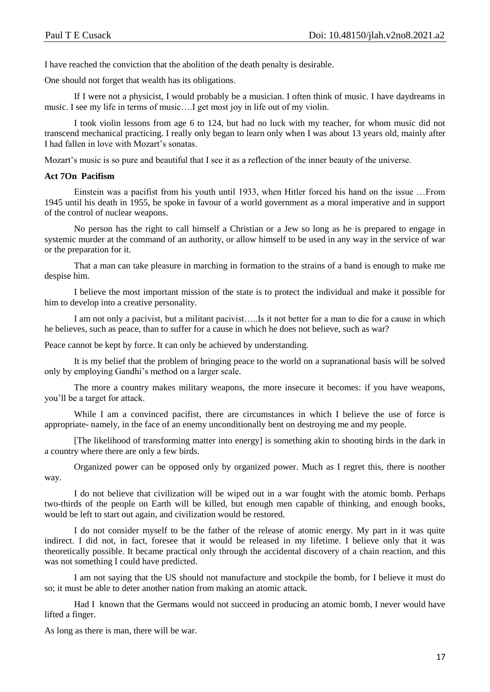I have reached the conviction that the abolition of the death penalty is desirable.

One should not forget that wealth has its obligations.

If I were not a physicist, I would probably be a musician. I often think of music. I have daydreams in music. I see my life in terms of music….I get most joy in life out of my violin.

I took violin lessons from age 6 to 124, but had no luck with my teacher, for whom music did not transcend mechanical practicing. I really only began to learn only when I was about 13 years old, mainly after I had fallen in love with Mozart's sonatas.

Mozart's music is so pure and beautiful that I see it as a reflection of the inner beauty of the universe.

#### **Act 7On Pacifism**

Einstein was a pacifist from his youth until 1933, when Hitler forced his hand on the issue …From 1945 until his death in 1955, he spoke in favour of a world government as a moral imperative and in support of the control of nuclear weapons.

No person has the right to call himself a Christian or a Jew so long as he is prepared to engage in systemic murder at the command of an authority, or allow himself to be used in any way in the service of war or the preparation for it.

That a man can take pleasure in marching in formation to the strains of a band is enough to make me despise him.

I believe the most important mission of the state is to protect the individual and make it possible for him to develop into a creative personality.

I am not only a pacivist, but a militant pacivist…..Is it not better for a man to die for a cause in which he believes, such as peace, than to suffer for a cause in which he does not believe, such as war?

Peace cannot be kept by force. It can only be achieved by understanding.

It is my belief that the problem of bringing peace to the world on a supranational basis will be solved only by employing Gandhi's method on a larger scale.

The more a country makes military weapons, the more insecure it becomes: if you have weapons, you'll be a target for attack.

While I am a convinced pacifist, there are circumstances in which I believe the use of force is appropriate- namely, in the face of an enemy unconditionally bent on destroying me and my people.

[The likelihood of transforming matter into energy] is something akin to shooting birds in the dark in a country where there are only a few birds.

Organized power can be opposed only by organized power. Much as I regret this, there is noother way.

I do not believe that civilization will be wiped out in a war fought with the atomic bomb. Perhaps two-thirds of the people on Earth will be killed, but enough men capable of thinking, and enough books, would be left to start out again, and civilization would be restored.

I do not consider myself to be the father of the release of atomic energy. My part in it was quite indirect. I did not, in fact, foresee that it would be released in my lifetime. I believe only that it was theoretically possible. It became practical only through the accidental discovery of a chain reaction, and this was not something I could have predicted.

I am not saying that the US should not manufacture and stockpile the bomb, for I believe it must do so; it must be able to deter another nation from making an atomic attack.

Had I known that the Germans would not succeed in producing an atomic bomb, I never would have lifted a finger.

As long as there is man, there will be war.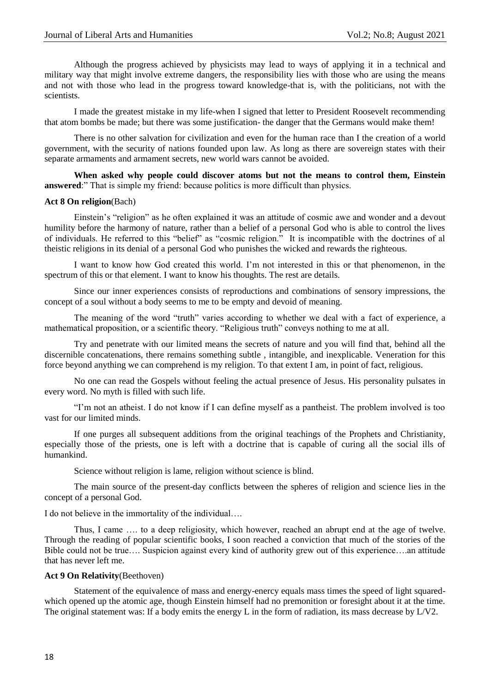Although the progress achieved by physicists may lead to ways of applying it in a technical and military way that might involve extreme dangers, the responsibility lies with those who are using the means and not with those who lead in the progress toward knowledge-that is, with the politicians, not with the scientists.

I made the greatest mistake in my life-when I signed that letter to President Roosevelt recommending that atom bombs be made; but there was some justification- the danger that the Germans would make them!

There is no other salvation for civilization and even for the human race than I the creation of a world government, with the security of nations founded upon law. As long as there are sovereign states with their separate armaments and armament secrets, new world wars cannot be avoided.

**When asked why people could discover atoms but not the means to control them, Einstein answered**:" That is simple my friend: because politics is more difficult than physics.

### **Act 8 On religion**(Bach)

Einstein's "religion" as he often explained it was an attitude of cosmic awe and wonder and a devout humility before the harmony of nature, rather than a belief of a personal God who is able to control the lives of individuals. He referred to this "belief" as "cosmic religion." It is incompatible with the doctrines of al theistic religions in its denial of a personal God who punishes the wicked and rewards the righteous.

I want to know how God created this world. I'm not interested in this or that phenomenon, in the spectrum of this or that element. I want to know his thoughts. The rest are details.

Since our inner experiences consists of reproductions and combinations of sensory impressions, the concept of a soul without a body seems to me to be empty and devoid of meaning.

The meaning of the word "truth" varies according to whether we deal with a fact of experience, a mathematical proposition, or a scientific theory. "Religious truth" conveys nothing to me at all.

Try and penetrate with our limited means the secrets of nature and you will find that, behind all the discernible concatenations, there remains something subtle , intangible, and inexplicable. Veneration for this force beyond anything we can comprehend is my religion. To that extent I am, in point of fact, religious.

No one can read the Gospels without feeling the actual presence of Jesus. His personality pulsates in every word. No myth is filled with such life.

"I'm not an atheist. I do not know if I can define myself as a pantheist. The problem involved is too vast for our limited minds.

If one purges all subsequent additions from the original teachings of the Prophets and Christianity, especially those of the priests, one is left with a doctrine that is capable of curing all the social ills of humankind.

Science without religion is lame, religion without science is blind.

The main source of the present-day conflicts between the spheres of religion and science lies in the concept of a personal God.

I do not believe in the immortality of the individual….

Thus, I came …. to a deep religiosity, which however, reached an abrupt end at the age of twelve. Through the reading of popular scientific books, I soon reached a conviction that much of the stories of the Bible could not be true…. Suspicion against every kind of authority grew out of this experience….an attitude that has never left me.

# **Act 9 On Relativity**(Beethoven)

Statement of the equivalence of mass and energy-enercy equals mass times the speed of light squaredwhich opened up the atomic age, though Einstein himself had no premonition or foresight about it at the time. The original statement was: If a body emits the energy L in the form of radiation, its mass decrease by L/V2.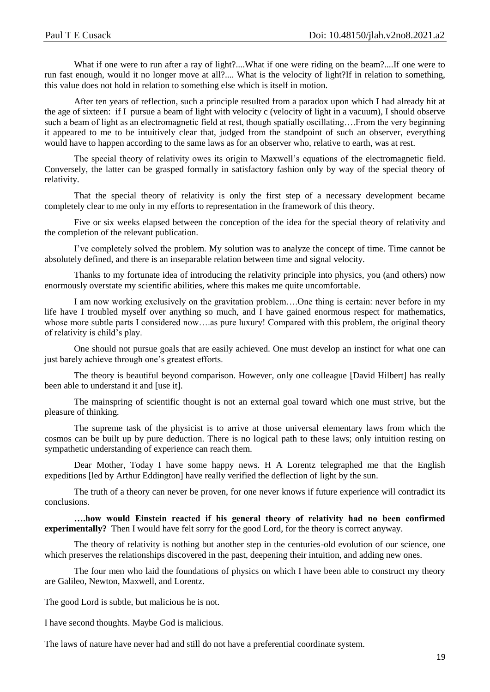What if one were to run after a ray of light?....What if one were riding on the beam?....If one were to run fast enough, would it no longer move at all?.... What is the velocity of light?If in relation to something, this value does not hold in relation to something else which is itself in motion.

After ten years of reflection, such a principle resulted from a paradox upon which I had already hit at the age of sixteen: if I pursue a beam of light with velocity c (velocity of light in a vacuum), I should observe such a beam of light as an electromagnetic field at rest, though spatially oscillating….From the very beginning it appeared to me to be intuitively clear that, judged from the standpoint of such an observer, everything would have to happen according to the same laws as for an observer who, relative to earth, was at rest.

The special theory of relativity owes its origin to Maxwell's equations of the electromagnetic field. Conversely, the latter can be grasped formally in satisfactory fashion only by way of the special theory of relativity.

That the special theory of relativity is only the first step of a necessary development became completely clear to me only in my efforts to representation in the framework of this theory.

Five or six weeks elapsed between the conception of the idea for the special theory of relativity and the completion of the relevant publication.

I've completely solved the problem. My solution was to analyze the concept of time. Time cannot be absolutely defined, and there is an inseparable relation between time and signal velocity.

Thanks to my fortunate idea of introducing the relativity principle into physics, you (and others) now enormously overstate my scientific abilities, where this makes me quite uncomfortable.

I am now working exclusively on the gravitation problem….One thing is certain: never before in my life have I troubled myself over anything so much, and I have gained enormous respect for mathematics, whose more subtle parts I considered now….as pure luxury! Compared with this problem, the original theory of relativity is child's play.

One should not pursue goals that are easily achieved. One must develop an instinct for what one can just barely achieve through one's greatest efforts.

The theory is beautiful beyond comparison. However, only one colleague [David Hilbert] has really been able to understand it and [use it].

The mainspring of scientific thought is not an external goal toward which one must strive, but the pleasure of thinking.

The supreme task of the physicist is to arrive at those universal elementary laws from which the cosmos can be built up by pure deduction. There is no logical path to these laws; only intuition resting on sympathetic understanding of experience can reach them.

Dear Mother, Today I have some happy news. H A Lorentz telegraphed me that the English expeditions [led by Arthur Eddington] have really verified the deflection of light by the sun.

The truth of a theory can never be proven, for one never knows if future experience will contradict its conclusions.

**….how would Einstein reacted if his general theory of relativity had no been confirmed experimentally?** Then I would have felt sorry for the good Lord, for the theory is correct anyway.

The theory of relativity is nothing but another step in the centuries-old evolution of our science, one which preserves the relationships discovered in the past, deepening their intuition, and adding new ones.

The four men who laid the foundations of physics on which I have been able to construct my theory are Galileo, Newton, Maxwell, and Lorentz.

The good Lord is subtle, but malicious he is not.

I have second thoughts. Maybe God is malicious.

The laws of nature have never had and still do not have a preferential coordinate system.